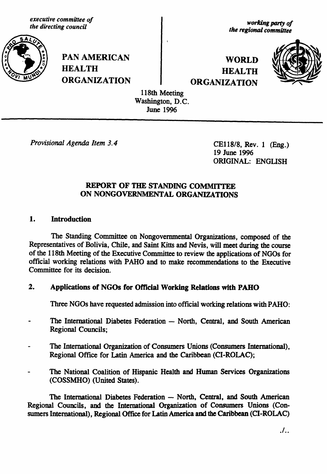executive committee of the directing council



**PAN AMERICAN HEALTH ORGANIZATION** 

working party of the regional committee

**WORLD HEALTH ORGANIZATION** 



118th Meeting Washington, D.C. **June 1996** 

Provisional Agenda Item 3.4

CE118/8, Rev. 1 (Eng.) 19 June 1996 ORIGINAL: ENGLISH

## REPORT OF THE STANDING COMMITTEE ON NONGOVERNMENTAL ORGANIZATIONS

#### 1. **Introduction**

The Standing Committee on Nongovernmental Organizations, composed of the Representatives of Bolivia, Chile, and Saint Kitts and Nevis, will meet during the course of the 118th Meeting of the Executive Committee to review the applications of NGOs for official working relations with PAHO and to make recommendations to the Executive Committee for its decision.

#### 2. Applications of NGOs for Official Working Relations with PAHO

Three NGOs have requested admission into official working relations with PAHO:

- The International Diabetes Federation North, Central, and South American **Regional Councils;**
- The International Organization of Consumers Unions (Consumers International). Regional Office for Latin America and the Caribbean (CI-ROLAC);
- The National Coalition of Hispanic Health and Human Services Organizations (COSSMHO) (United States).

The International Diabetes Federation - North, Central, and South American Regional Councils, and the International Organization of Consumers Unions (Consumers International), Regional Office for Latin America and the Caribbean (CI-ROLAC)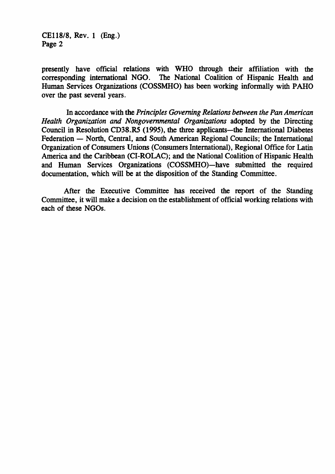*CEl18***/***8, Rev. 1* (*E*ng*.*) *Page 2*

pr*e*sently hav*e o*fficial r*e*lati*o*ns *w*ith WHO throug*h* their affiliation *w*ith the c*o*rre*s*p*o*nding internati*o*nal NGO. The Nati*o*nal C*o*aliti*o*n *o*f Hispanic Health and Human Services Organizati*o*n**s** (*C*OSSMHO) has been w*o*rking inf*o*rmally with PAHO *o*ver the past seve*r*al years.

I*n a*cc*or*dan*ce* with th*e* **Principles Governing Relations between the Pan American Health Organization and Nongovernmental Organi**za**tions** ad*o*pted by the Directing C*o*un*c*il in Res*o*luti*o*n CD38.R5 (1995), the three applicants*--*the Internati*o*nal Diabetes Federati*o*n *--* N*o*rth, Ce*n*tral, and S*o*uth Ameri*c*an Regi*o*nal C*o*un*c*ils; the Internati*o*nal Organizati*o*n *o*f C*o*nsumers Uni*o*ns (C*o*nsumer*s* Internati*o*nal), Regi*o*nal Office f*o*r *L*atin Ameri*c*a and the Caribbea*n* (*C*I-ROLAC); and the Nati*o*nal C*o*aliti*o*n of Hispanic Health and Human Services Organizati*o*ns (COSSMHO)*--*have submitted the required documentati*o*n, whi*c*h will be at the disp*o*siti*o*n *o*f the Standing C*o*mmittee.

Afte*r* th*e E*xe**c***u*tiv*e* C*o*mmittee ha*s* receiv*ed* the r*e*p*o*rt *o*f th*e* Stan*d*ing C*o*mmittee, it will make a decisi*o*n *o*n the establi*s*hment *o*f *o*fficial w*o*rking relati*o*ns with each *o*f these NGO*s*.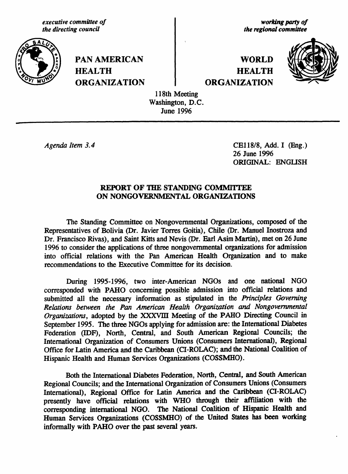executive committee of the directing council



**PAN AMERICAN HEALTH ORGANIZATION** 

working party of the regional committee

**WORLD HEALTH ORGANIZATION** 



118th Meeting Washington, D.C. **June 1996** 

Agenda Item 3.4

CE118/8, Add. I (Eng.) 26 June 1996 **ORIGINAL: ENGLISH** 

### REPORT OF THE STANDING COMMITTEE ON NONGOVERNMENTAL ORGANIZATIONS

The Standing Committee on Nongovernmental Organizations, composed of the Representatives of Bolivia (Dr. Javier Torres Goitia), Chile (Dr. Manuel Inostroza and Dr. Francisco Rivas), and Saint Kitts and Nevis (Dr. Earl Asim Martin), met on 26 June 1996 to consider the applications of three nongovernmental organizations for admission into official relations with the Pan American Health Organization and to make recommendations to the Executive Committee for its decision.

During 1995-1996, two inter-American NGOs and one national NGO corresponded with PAHO concerning possible admission into official relations and submitted all the necessary information as stipulated in the Principles Governing Relations between the Pan American Health Organization and Nongovernmental Organizations, adopted by the XXXVIII Meeting of the PAHO Directing Council in September 1995. The three NGOs applying for admission are: the International Diabetes Federation (IDF), North, Central, and South American Regional Councils; the International Organization of Consumers Unions (Consumers International), Regional Office for Latin America and the Caribbean (CI-ROLAC); and the National Coalition of Hispanic Health and Human Services Organizations (COSSMHO).

Both the International Diabetes Federation, North, Central, and South American Regional Councils; and the International Organization of Consumers Unions (Consumers International), Regional Office for Latin America and the Caribbean (CI-ROLAC) presently have official relations with WHO through their affiliation with the corresponding international NGO. The National Coalition of Hispanic Health and Human Services Organizations (COSSMHO) of the United States has been working informally with PAHO over the past several years.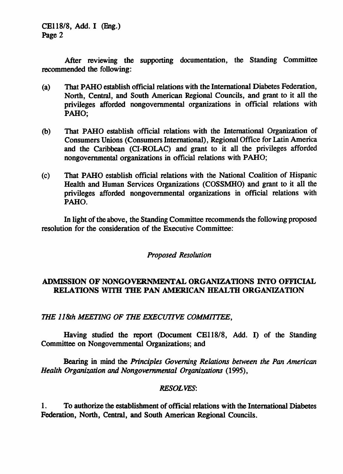*CE*11*8***/***8,* A*d*d. I (E*n*g.) Pag*e* 2

*After re*vi*ewin*g *the supportin*g d*o***c***u*me*nta*tio*n*, t*h***e** *Stan*ding *Co*mmi*ttee re***c***ommended the fol*l*owin*g:

- (*a*) *That PAHO establish o*ff*i***c***ial* re*lations with th*e *Internation*al *Diabet*e*s F*ed*eration, North, Central, and South Ameri***c***an Regional* C*oun***c***ils, and grant to it a*ll *the p*ri*vile*g*es afford*ed *nongovernmen*t*al or*g*anizations in o*ff*i*c*i*a*l* rela*tions with* PA*H*O;
- (*b*) *Tha*t *PAH*O *es*ta*blish official* re*la*tio*ns* w*i*t*h* t*he In*t*e*rnati*onal* O*r*g*aniza*t*i*o*n* o*f Consumers Unions* (*Consumers* I*nte*rn*ational*)*, R*eg*ional Offi*c*e for Lat*in *Am*e*ri*c*a* an*d th*e *Caribbean* (*C*I-*ROLA*C*) and grant to it a*l*l th*e *p*ri*vi*l*e*ge*s a*ff*orded nongovernm*e*nta*l *organiza*ti*on*s in *o*ffic*ia*l *r*e*lations with* P*AHO;*
- (c) *That PAHO* e*s*ta*b*li*sh o*ffi**c***i*al rela*tions with the Na*ti*onal* C*oalition of Hi*s*pani*c *He*a*lth and Hum*an *Ser*v*i***c***es Organiza*ti*ons* (*COSS*MI-*IO) and grant to it all th*e *priv*il*eges* aff*o*rded *non*g*overnm*e*ntal or*g*aniza*ti*ons* in *o*ffi**c***ial* re*lations with* P*AH*O.

I*n li*g*ht of the above, the Stand*ing *Committee r*e**c***ommends the fol*l*owin*g *proposed* re*solution for the* **c***onsidera*ti*on of the Exe***c***utiv*e C*ommitt*ee:

# **Proposed Resolution**

# A*DM*I*SSIO*N O*F NONGO*VE*R*NM\_*N*TAL O*R*G*A*NI*ZAT*I*O*N*S* IN*TO OF*FI*C*I*AL R*E**L***AT*I*ONS W*I*TH* T*H*E *PA*N *A***M**E*R*I*CAN H*E*AL*T*H* O*R*G*AN*I*Z*A*T*I*O*N

**THE l l 8th MEETING OF THE** E**XECUTIVE COMMITTEE**,

Having *studied* the r*e*p*or*t (D*o*cument C*E*l18**/**8, Add. I) *o*f the Standi*n*g C*o*mmittee *o*n N*o*ng*o*v*e*rnmental Organizati*o*ns; and

Bearing in mind th*e* **Principles Governing Relations between the Pan American Health Organization and Nongovernmental Organizations (1995),** 

### **RESOL**I**rES***:*

1. *TO* a*u*th*or*i*ze the establishmen*t *o*f *o*ffic*ial* rela*tions* w*i*th *th*e I*n*t*erna*ti*onal Dia*be*tes F*ed*er*a*t*i*on*, *North***,** Ce*ntra*l, an*d Sou*th Am*er*i*c*a*n Re*g*ional Coun*c*ils*.